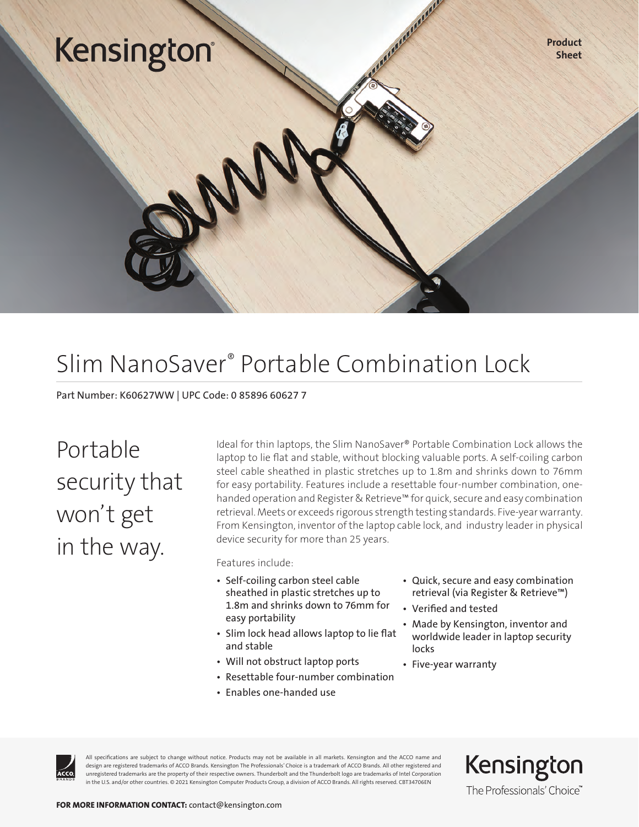## Kensington

Product Sheet

### Slim NanoSaver® Portable Combination Lock

Part Number: K60627WW | UPC Code: 0 85896 60627 7

Portable security that won't get in the way.

Ideal for thin laptops, the Slim NanoSaver® Portable Combination Lock allows the laptop to lie flat and stable, without blocking valuable ports. A self-coiling carbon steel cable sheathed in plastic stretches up to 1.8m and shrinks down to 76mm for easy portability. Features include a resettable four-number combination, onehanded operation and Register & Retrieve™ for quick, secure and easy combination retrieval. Meets or exceeds rigorous strength testing standards. Five-year warranty. From Kensington, inventor of the laptop cable lock, and industry leader in physical device security for more than 25 years.

Features include:

- Self-coiling carbon steel cable sheathed in plastic stretches up to 1.8m and shrinks down to 76mm for easy portability
- Slim lock head allows laptop to lie flat and stable
- Will not obstruct laptop ports
- Resettable four-number combination
- Enables one-handed use
- Quick, secure and easy combination retrieval (via Register & Retrieve™)
- Verified and tested
- Made by Kensington, inventor and worldwide leader in laptop security locks
- Five-year warranty



All specifications are subject to change without notice. Products may not be available in all markets. Kensington and the ACCO name and design are registered trademarks of ACCO Brands. Kensington The Professionals' Choice is a trademark of ACCO Brands. All other registered and unregistered trademarks are the property of their respective owners. Thunderbolt and the Thunderbolt logo are trademarks of Intel Corporation in the U.S. and/or other countries. © 2021 Kensington Computer Products Group, a division of ACCO Brands. All rights reserved. CBT34706EN

Kensington The Professionals' Choice"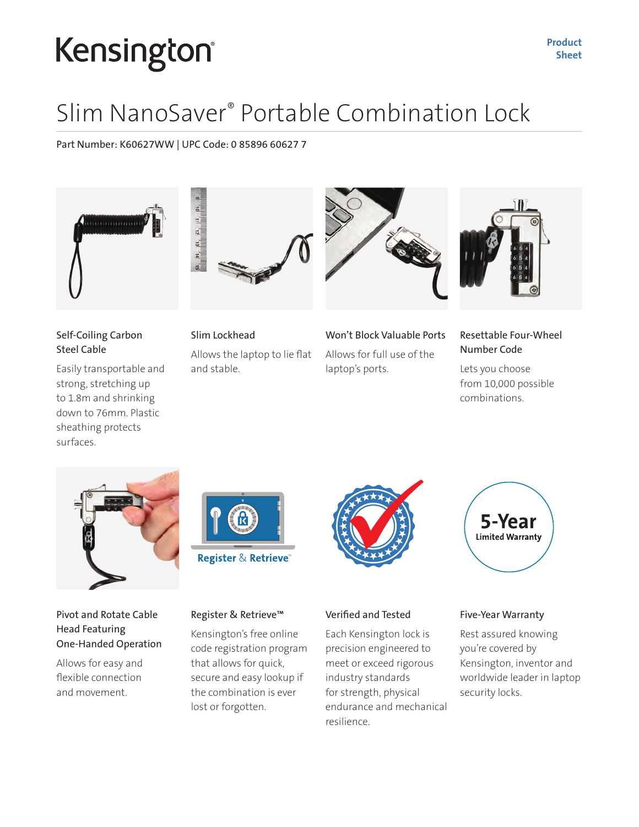# Kensington®

### Slim NanoSaver® Portable Combination Lock

Part Number: K60627WW | UPC Code: 0 85896 60627 7



#### Self-Coiling Carbon Steel Cable

Easily transportable and strong, stretching up to 1.8m and shrinking down to 76mm. Plastic sheathing protects surfaces.



Slim Lockhead Allows the laptop to lie flat and stable.



Won't Block Valuable Ports Allows for full use of the laptop's ports.



#### Resettable Four-Wheel Number Code

Lets you choose from 10,000 possible combinations.



Pivot and Rotate Cable Head Featuring One-Handed Operation

Allows for easy and flexible connection and movement.



#### Register & Retrieve™

Kensington's free online code registration program that allows for quick, secure and easy lookup if the combination is ever lost or forgotten.



#### Verified and Tested

Each Kensington lock is precision engineered to meet or exceed rigorous industry standards for strength, physical endurance and mechanical resilience.



#### Five-Year Warranty

Rest assured knowing you're covered by Kensington, inventor and worldwide leader in laptop security locks.